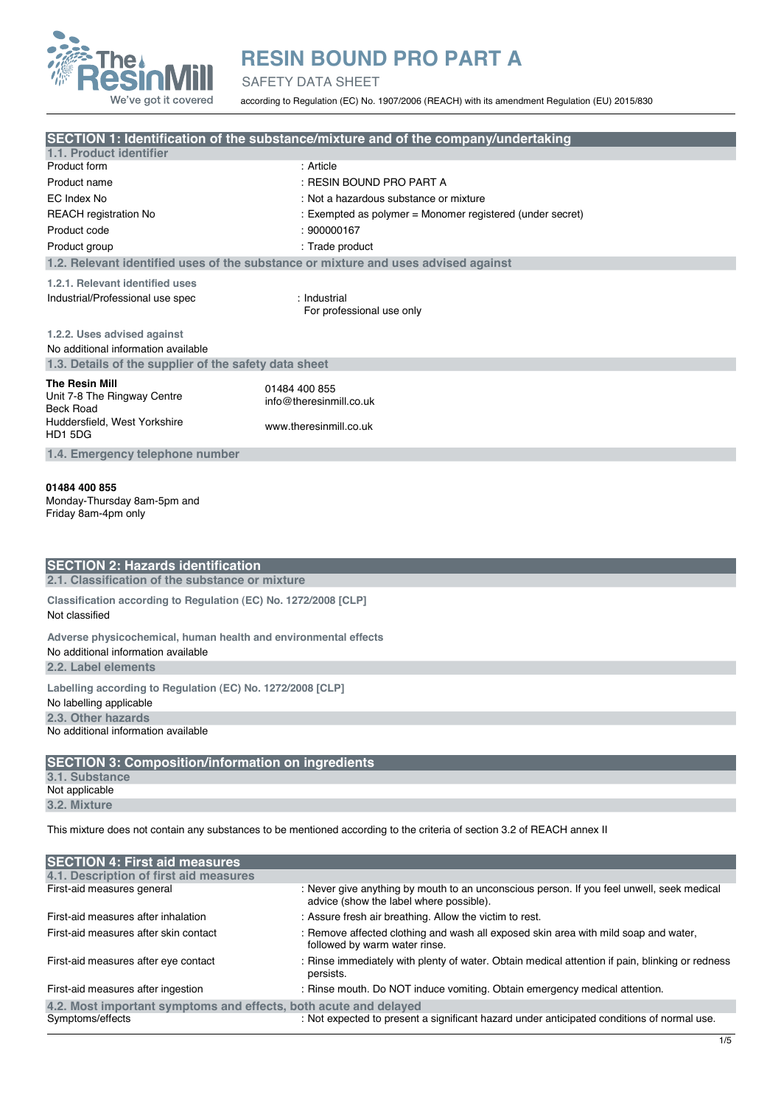

SAFETY DATA SHEET

according to Regulation (EC) No. 1907/2006 (REACH) with its amendment Regulation (EU) 2015/830

|                                                                                                                         | SECTION 1: Identification of the substance/mixture and of the company/undertaking  |  |
|-------------------------------------------------------------------------------------------------------------------------|------------------------------------------------------------------------------------|--|
| 1.1. Product identifier<br>Product form                                                                                 | : Article                                                                          |  |
| Product name                                                                                                            | : RESIN BOUND PRO PART A                                                           |  |
| EC Index No                                                                                                             | : Not a hazardous substance or mixture                                             |  |
| <b>REACH</b> registration No                                                                                            | : Exempted as polymer = Monomer registered (under secret)                          |  |
| Product code                                                                                                            | : 900000167                                                                        |  |
| Product group                                                                                                           | : Trade product                                                                    |  |
|                                                                                                                         | 1.2. Relevant identified uses of the substance or mixture and uses advised against |  |
|                                                                                                                         |                                                                                    |  |
| 1.2.1. Relevant identified uses                                                                                         |                                                                                    |  |
| Industrial/Professional use spec                                                                                        | : Industrial<br>For professional use only                                          |  |
|                                                                                                                         |                                                                                    |  |
| 1.2.2. Uses advised against                                                                                             |                                                                                    |  |
| No additional information available                                                                                     |                                                                                    |  |
| 1.3. Details of the supplier of the safety data sheet                                                                   |                                                                                    |  |
| The Resin Mill                                                                                                          | 01484 400 855                                                                      |  |
| Unit 7-8 The Ringway Centre                                                                                             | info@theresinmill.co.uk                                                            |  |
| Beck Road<br>Huddersfield, West Yorkshire                                                                               |                                                                                    |  |
| HD1 5DG                                                                                                                 | www.theresinmill.co.uk                                                             |  |
| 1.4. Emergency telephone number                                                                                         |                                                                                    |  |
|                                                                                                                         |                                                                                    |  |
| 01484 400 855                                                                                                           |                                                                                    |  |
| Monday-Thursday 8am-5pm and                                                                                             |                                                                                    |  |
| Friday 8am-4pm only                                                                                                     |                                                                                    |  |
|                                                                                                                         |                                                                                    |  |
|                                                                                                                         |                                                                                    |  |
| <b>SECTION 2: Hazards identification</b>                                                                                |                                                                                    |  |
| 2.1. Classification of the substance or mixture                                                                         |                                                                                    |  |
| Classification according to Regulation (EC) No. 1272/2008 [CLP]                                                         |                                                                                    |  |
| Not classified                                                                                                          |                                                                                    |  |
|                                                                                                                         |                                                                                    |  |
| Adverse physicochemical, human health and environmental effects                                                         |                                                                                    |  |
| No additional information available                                                                                     |                                                                                    |  |
| 2.2. Label elements                                                                                                     |                                                                                    |  |
| Labelling according to Regulation (EC) No. 1272/2008 [CLP]                                                              |                                                                                    |  |
| No labelling applicable                                                                                                 |                                                                                    |  |
| 2.3. Other hazards                                                                                                      |                                                                                    |  |
| No additional information available                                                                                     |                                                                                    |  |
| <b>SECTION 3: Composition/information on ingredients</b>                                                                |                                                                                    |  |
| 3.1. Substance                                                                                                          |                                                                                    |  |
| Not applicable                                                                                                          |                                                                                    |  |
| 3.2. Mixture                                                                                                            |                                                                                    |  |
|                                                                                                                         |                                                                                    |  |
| This mixture does not contain any substances to be mentioned according to the criteria of section 3.2 of REACH annex II |                                                                                    |  |
|                                                                                                                         |                                                                                    |  |
| <b>SECTION 4: First aid measures</b>                                                                                    |                                                                                    |  |
| 4.1. Description of first aid measures                                                                                  |                                                                                    |  |

| First-aid measures general                                       | : Never give anything by mouth to an unconscious person. If you feel unwell, seek medical<br>advice (show the label where possible). |  |
|------------------------------------------------------------------|--------------------------------------------------------------------------------------------------------------------------------------|--|
| First-aid measures after inhalation                              | : Assure fresh air breathing. Allow the victim to rest.                                                                              |  |
| First-aid measures after skin contact                            | : Remove affected clothing and wash all exposed skin area with mild soap and water.<br>followed by warm water rinse.                 |  |
| First-aid measures after eye contact                             | : Rinse immediately with plenty of water. Obtain medical attention if pain, blinking or redness<br>persists.                         |  |
| First-aid measures after ingestion                               | : Rinse mouth. Do NOT induce vomiting. Obtain emergency medical attention.                                                           |  |
| 4.2. Most important symptoms and effects, both acute and delayed |                                                                                                                                      |  |
| Symptoms/effects                                                 | : Not expected to present a significant hazard under anticipated conditions of normal use.                                           |  |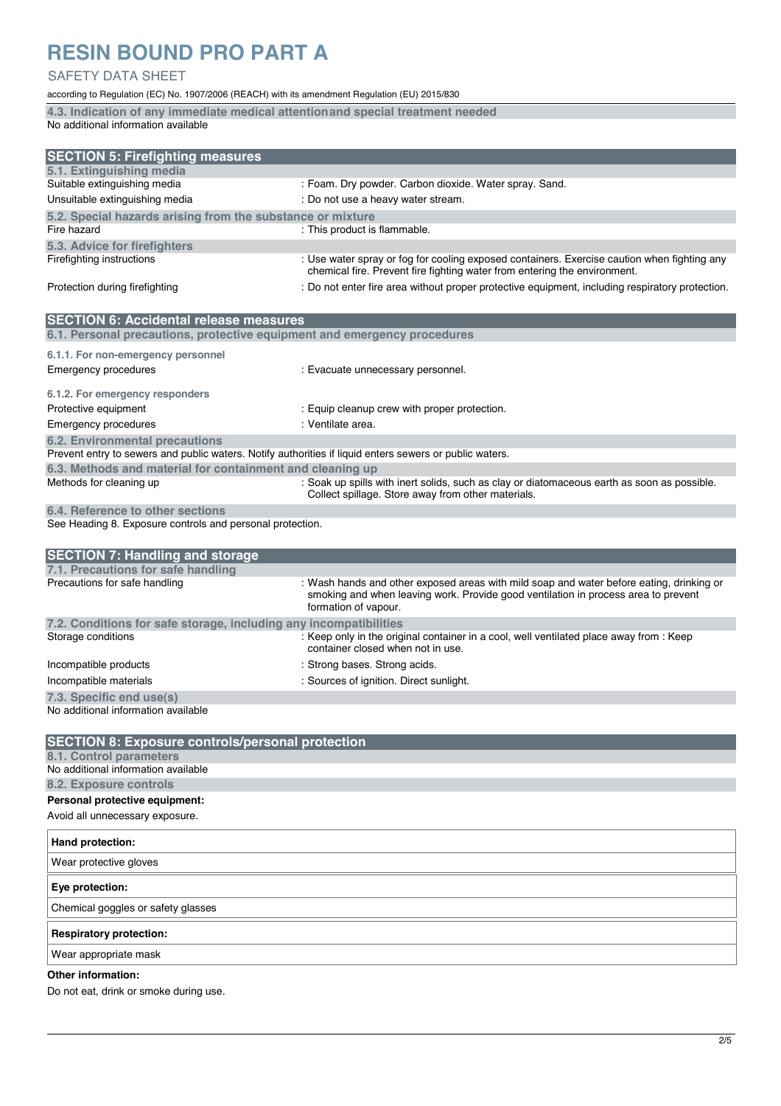### SAFETY DATA SHEET

according to Regulation (EC) No. 1907/2006 (REACH) with its amendment Regulation (EU) 2015/830

**4.3. Indication of any immediate medical attention and special treatment needed**  No additional information available

| <b>SECTION 5: Firefighting measures</b>                    |                                                                                                                                                                          |
|------------------------------------------------------------|--------------------------------------------------------------------------------------------------------------------------------------------------------------------------|
| 5.1. Extinguishing media                                   |                                                                                                                                                                          |
| Suitable extinguishing media                               | : Foam. Dry powder. Carbon dioxide. Water spray. Sand.                                                                                                                   |
| Unsuitable extinguishing media                             | : Do not use a heavy water stream.                                                                                                                                       |
| 5.2. Special hazards arising from the substance or mixture |                                                                                                                                                                          |
| Fire hazard                                                | : This product is flammable.                                                                                                                                             |
| 5.3. Advice for firefighters                               |                                                                                                                                                                          |
| Firefighting instructions                                  | : Use water spray or fog for cooling exposed containers. Exercise caution when fighting any<br>chemical fire. Prevent fire fighting water from entering the environment. |
| Protection during firefighting                             | : Do not enter fire area without proper protective equipment, including respiratory protection.                                                                          |

| <b>SECTION 6: Accidental release measures</b>                                                           |                                                                                                                                                   |  |
|---------------------------------------------------------------------------------------------------------|---------------------------------------------------------------------------------------------------------------------------------------------------|--|
| 6.1. Personal precautions, protective equipment and emergency procedures                                |                                                                                                                                                   |  |
| 6.1.1. For non-emergency personnel<br>Emergency procedures                                              | : Evacuate unnecessary personnel.                                                                                                                 |  |
| 6.1.2. For emergency responders                                                                         |                                                                                                                                                   |  |
| Protective equipment                                                                                    | : Equip cleanup crew with proper protection.                                                                                                      |  |
| Emergency procedures                                                                                    | : Ventilate area.                                                                                                                                 |  |
| 6.2. Environmental precautions                                                                          |                                                                                                                                                   |  |
| Prevent entry to sewers and public waters. Notify authorities if liquid enters sewers or public waters. |                                                                                                                                                   |  |
| 6.3. Methods and material for containment and cleaning up                                               |                                                                                                                                                   |  |
| Methods for cleaning up                                                                                 | : Soak up spills with inert solids, such as clay or diatomaceous earth as soon as possible.<br>Collect spillage. Store away from other materials. |  |
| 6.4. Reference to other sections                                                                        |                                                                                                                                                   |  |

See Heading 8. Exposure controls and personal protection.

| <b>SECTION 7: Handling and storage</b>                            |                                                                                                                                                                                                        |
|-------------------------------------------------------------------|--------------------------------------------------------------------------------------------------------------------------------------------------------------------------------------------------------|
| 7.1. Precautions for safe handling                                |                                                                                                                                                                                                        |
| Precautions for safe handling                                     | : Wash hands and other exposed areas with mild soap and water before eating, drinking or<br>smoking and when leaving work. Provide good ventilation in process area to prevent<br>formation of vapour. |
| 7.2. Conditions for safe storage, including any incompatibilities |                                                                                                                                                                                                        |
| Storage conditions                                                | : Keep only in the original container in a cool, well ventilated place away from : Keep<br>container closed when not in use.                                                                           |
| Incompatible products                                             | : Strong bases. Strong acids.                                                                                                                                                                          |
| Incompatible materials                                            | : Sources of ignition. Direct sunlight.                                                                                                                                                                |
| 7.3. Specific end use(s)                                          |                                                                                                                                                                                                        |
| h la cadalitique d'informacitique avroite la la                   |                                                                                                                                                                                                        |

| <b>SECTION 8: Exposure controls/personal protection</b> |
|---------------------------------------------------------|
| 8.1. Control parameters                                 |
| No additional information available                     |
| 8.2. Exposure controls                                  |
| Personal protective equipment:                          |
| Avoid all unnecessary exposure.                         |
| Hand protection:                                        |
| Wear protective gloves                                  |
| Eye protection:                                         |
| Chemical goggles or safety glasses                      |
| <b>Respiratory protection:</b>                          |

Wear appropriate mask

#### **Other information:**

Do not eat, drink or smoke during use.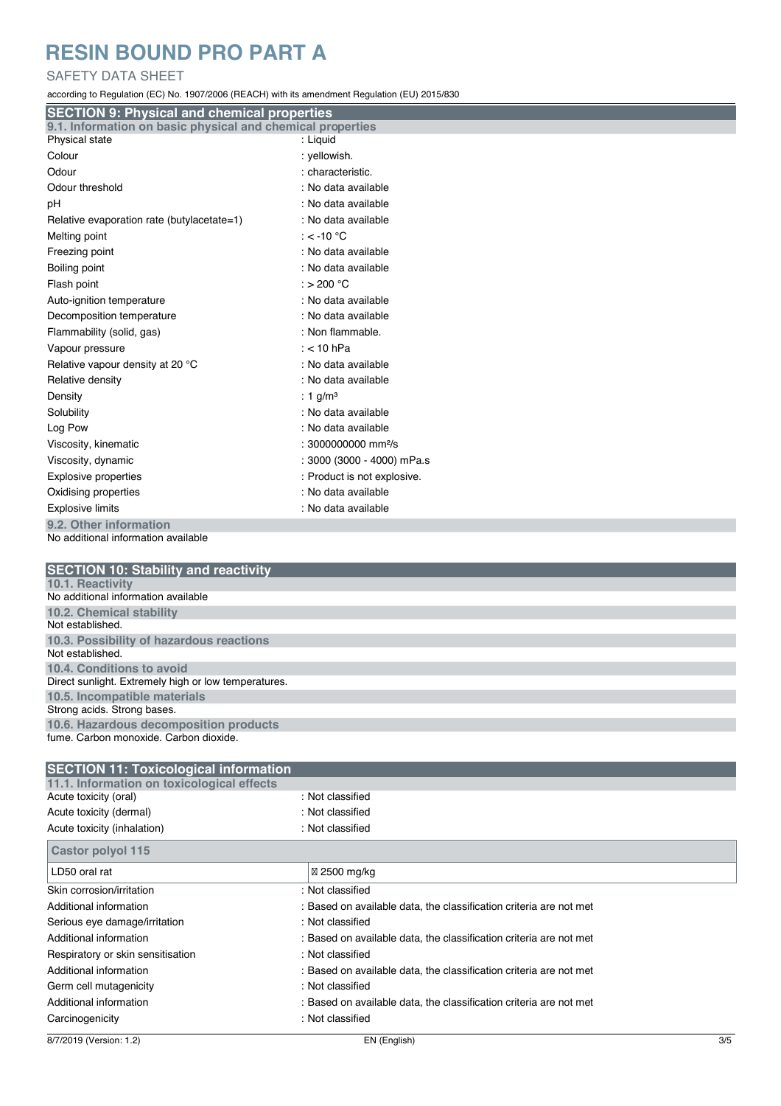### SAFETY DATA SHEET

according to Regulation (EC) No. 1907/2006 (REACH) with its amendment Regulation (EU) 2015/830

| <b>SECTION 9: Physical and chemical properties</b>            |                                 |
|---------------------------------------------------------------|---------------------------------|
| 9.1. Information on basic physical and chemical properties    |                                 |
| Physical state                                                | : Liquid                        |
| Colour                                                        | : yellowish.                    |
| Odour                                                         | : characteristic.               |
| Odour threshold                                               | : No data available             |
| pH                                                            | : No data available             |
| Relative evaporation rate (butylacetate=1)                    | : No data available             |
| Melting point                                                 | : $<$ -10 °C                    |
| Freezing point                                                | : No data available             |
| Boiling point                                                 | : No data available             |
| Flash point                                                   | : $> 200 °C$                    |
| Auto-ignition temperature                                     | : No data available             |
| Decomposition temperature                                     | : No data available             |
| Flammability (solid, gas)                                     | : Non flammable.                |
| Vapour pressure                                               | : $<$ 10 hPa                    |
| Relative vapour density at 20 °C                              | : No data available             |
| Relative density                                              | : No data available             |
| Density                                                       | : 1 g/m <sup>3</sup>            |
| Solubility                                                    | : No data available             |
| Log Pow                                                       | : No data available             |
| Viscosity, kinematic                                          | : 3000000000 mm <sup>2</sup> /s |
| Viscosity, dynamic                                            | : 3000 (3000 - 4000) mPa.s      |
| <b>Explosive properties</b>                                   | : Product is not explosive.     |
| Oxidising properties                                          | : No data available             |
| <b>Explosive limits</b>                                       | : No data available             |
| 9.2. Other information<br>No additional information available |                                 |

| <b>SECTION 10: Stability and reactivity</b>          |
|------------------------------------------------------|
| 10.1. Reactivity                                     |
| No additional information available                  |
| 10.2. Chemical stability                             |
| Not established.                                     |
| 10.3. Possibility of hazardous reactions             |
| Not established                                      |
| 10.4. Conditions to avoid                            |
| Direct sunlight. Extremely high or low temperatures. |
| 10.5. Incompatible materials                         |
| Strong acids. Strong bases.                          |
| 10.6. Hazardous decomposition products               |
| fume, Carbon monoxide, Carbon dioxide.               |

| <b>SECTION 11: Toxicological information</b> |                                                                    |  |
|----------------------------------------------|--------------------------------------------------------------------|--|
| 11.1. Information on toxicological effects   |                                                                    |  |
| Acute toxicity (oral)                        | : Not classified                                                   |  |
| Acute toxicity (dermal)                      | : Not classified                                                   |  |
| Acute toxicity (inhalation)                  | : Not classified                                                   |  |
| Castor polyol 115                            |                                                                    |  |
| LD50 oral rat                                | 2500 mg/kg                                                         |  |
| Skin corrosion/irritation                    | : Not classified                                                   |  |
| Additional information                       | : Based on available data, the classification criteria are not met |  |
| Serious eye damage/irritation                | : Not classified                                                   |  |
| Additional information                       | : Based on available data, the classification criteria are not met |  |
| Respiratory or skin sensitisation            | : Not classified                                                   |  |
| Additional information                       | : Based on available data, the classification criteria are not met |  |
| Germ cell mutagenicity                       | : Not classified                                                   |  |
| Additional information                       | : Based on available data, the classification criteria are not met |  |
| Carcinogenicity                              | : Not classified                                                   |  |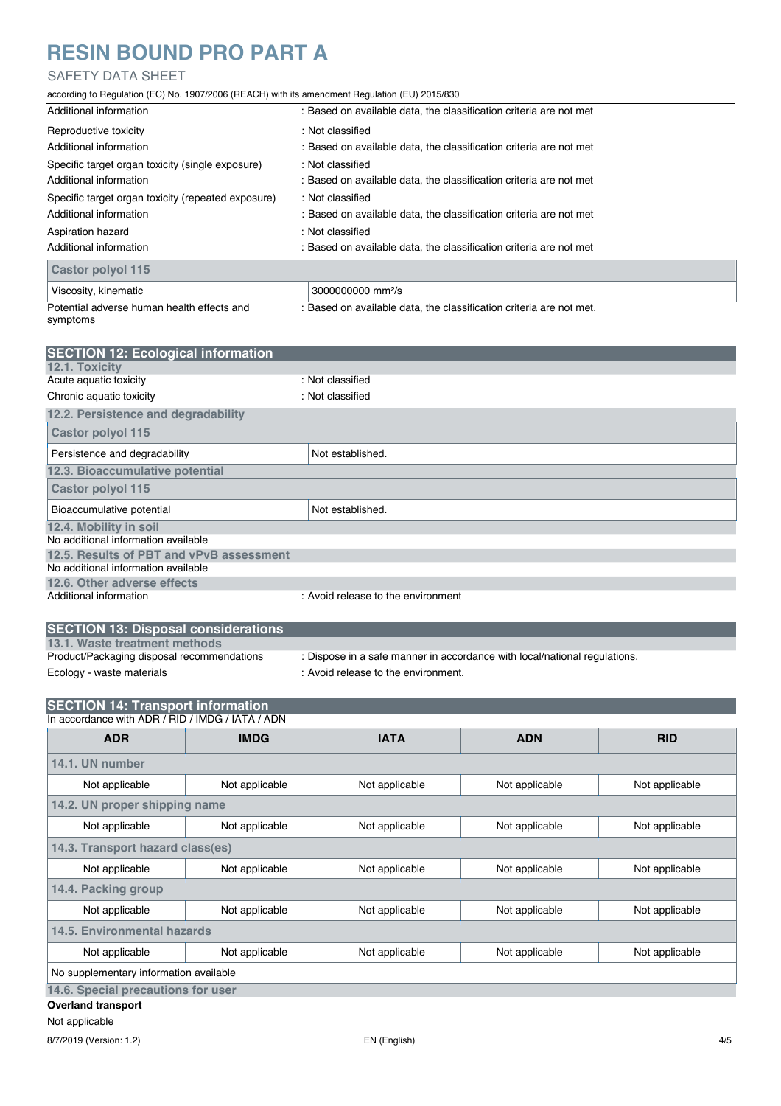### SAFETY DATA SHEET

according to Regulation (EC) No. 1907/2006 (REACH) with its amendment Regulation (EU) 2015/830

| Additional information                             | : Based on available data, the classification criteria are not met  |
|----------------------------------------------------|---------------------------------------------------------------------|
| Reproductive toxicity                              | : Not classified                                                    |
| Additional information                             | : Based on available data, the classification criteria are not met  |
| Specific target organ toxicity (single exposure)   | : Not classified                                                    |
| Additional information                             | : Based on available data, the classification criteria are not met  |
| Specific target organ toxicity (repeated exposure) | : Not classified                                                    |
| Additional information                             | : Based on available data, the classification criteria are not met  |
| Aspiration hazard                                  | : Not classified                                                    |
| Additional information                             | : Based on available data, the classification criteria are not met  |
| <b>Castor polyol 115</b>                           |                                                                     |
| Viscosity, kinematic                               | 3000000000 mm <sup>2</sup> /s                                       |
| Potential adverse human health effects and         | : Based on available data, the classification criteria are not met. |

symptoms

| <b>SECTION 12: Ecological information</b> |                                    |
|-------------------------------------------|------------------------------------|
| 12.1. Toxicity                            |                                    |
| Acute aquatic toxicity                    | : Not classified                   |
| Chronic aquatic toxicity                  | : Not classified                   |
| 12.2. Persistence and degradability       |                                    |
| <b>Castor polyol 115</b>                  |                                    |
| Persistence and degradability             | Not established.                   |
| 12.3. Bioaccumulative potential           |                                    |
| Castor polyol 115                         |                                    |
| Bioaccumulative potential                 | Not established.                   |
| 12.4. Mobility in soil                    |                                    |
| No additional information available       |                                    |
| 12.5. Results of PBT and vPvB assessment  |                                    |
| No additional information available       |                                    |
| 12.6. Other adverse effects               |                                    |
| Additional information                    | : Avoid release to the environment |

| <b>SECTION 13: Disposal considerations</b> |                                     |
|--------------------------------------------|-------------------------------------|
| 13.1. Waste treatment methods              |                                     |
| Product/Packaging disposal recommendations | : Dispose in a safe manner in accor |
| Ecology - waste materials                  | : Avoid release to the environment. |

| : Dispose in a safe manner in accordance with local/national regulations. |
|---------------------------------------------------------------------------|

| <b>SECTION 14: Transport information</b>         |  |
|--------------------------------------------------|--|
| In accordance with ADR / RID / IMDG / IATA / ADN |  |

| <b>ADR</b>                             | <b>IMDG</b>    | <b>IATA</b>    | <b>ADN</b>     | <b>RID</b>     |  |
|----------------------------------------|----------------|----------------|----------------|----------------|--|
| 14.1. UN number                        |                |                |                |                |  |
| Not applicable                         | Not applicable | Not applicable | Not applicable | Not applicable |  |
| 14.2. UN proper shipping name          |                |                |                |                |  |
| Not applicable                         | Not applicable | Not applicable | Not applicable | Not applicable |  |
| 14.3. Transport hazard class(es)       |                |                |                |                |  |
| Not applicable                         | Not applicable | Not applicable | Not applicable | Not applicable |  |
| 14.4. Packing group                    |                |                |                |                |  |
| Not applicable                         | Not applicable | Not applicable | Not applicable | Not applicable |  |
| 14.5. Environmental hazards            |                |                |                |                |  |
| Not applicable                         | Not applicable | Not applicable | Not applicable | Not applicable |  |
| No supplementary information available |                |                |                |                |  |
| 14.6. Special precautions for user     |                |                |                |                |  |
| <b>Overland transport</b>              |                |                |                |                |  |

Not applicable